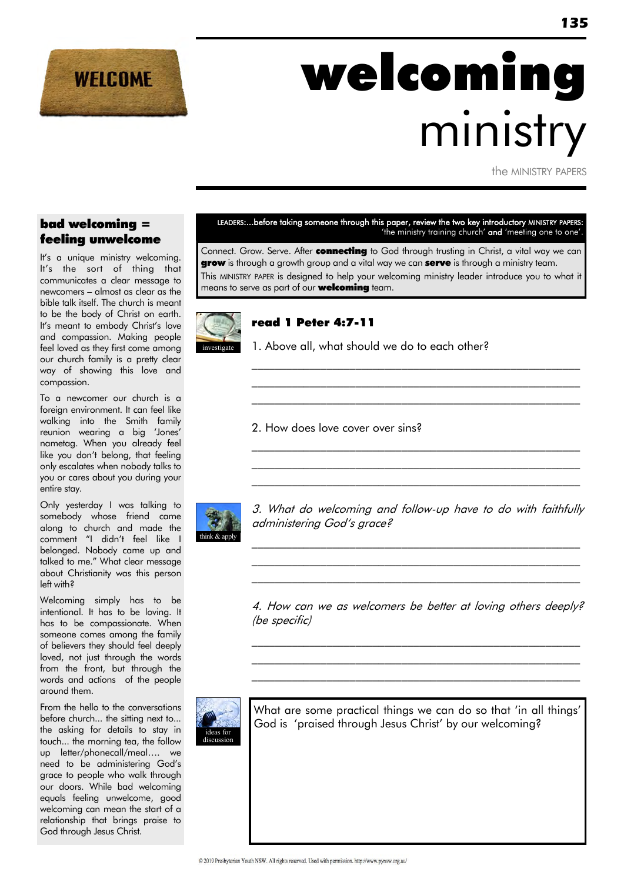

# welcoming ministry

the MINISTRY PAPERS

#### bad welcoming = feeling unwelcome

It's a unique ministry welcoming. It"s the sort of thing that communicates a clear message to newcomers – almost as clear as the bible talk itself. The church is meant to be the body of Christ on earth. It's meant to embody Christ's love and compassion. Making people feel loved as they first come among our church family is a pretty clear way of showing this love and compassion.

To a newcomer our church is a foreign environment. It can feel like walking into the Smith family reunion wearing a big "Jones" nametag. When you already feel like you don"t belong, that feeling only escalates when nobody talks to you or cares about you during your entire stay.

Only yesterday I was talking to somebody whose friend came along to church and made the comment "I didn"t feel like I belonged. Nobody came up and talked to me." What clear message about Christianity was this person left with?

Welcoming simply has to be intentional. It has to be loving. It has to be compassionate. When someone comes among the family of believers they should feel deeply loved, not just through the words from the front, but through the words and actions of the people around them.

From the hello to the conversations before church... the sitting next to... the asking for details to stay in touch... the morning tea, the follow up letter/phonecall/meal…. we need to be administering God"s grace to people who walk through our doors. While bad welcoming equals feeling unwelcome, good welcoming can mean the start of a relationship that brings praise to God through Jesus Christ.

LEADERS:...before taking someone through this paper, review the two key introductory MINISTRY PAPERS: 'the ministry training church' and 'meeting one to one'.

Connect. Grow. Serve. After **connecting** to God through trusting in Christ, a vital way we can **grow** is through a growth group and a vital way we can **serve** is through a ministry team. This MINISTRY PAPER is designed to help your welcoming ministry leader introduce you to what it means to serve as part of our **welcoming** team.



#### read 1 Peter 4:7-11

1. Above all, what should we do to each other?

2. How does love cover over sins?



3. What do welcoming and follow-up have to do with faithfully administering God's grace?

 $\mathcal{L}_\text{max}$  and the contract of the contract of the contract of the contract of the contract of the contract of  $\mathcal{L}_\text{max}$  and the contract of the contract of the contract of the contract of the contract of the contract of  $\mathcal{L}_\text{max}$  and the contract of the contract of the contract of the contract of the contract of the contract of

 $\mathcal{L}_\text{max}$  and the contract of the contract of the contract of the contract of the contract of the contract of  $\mathcal{L}_\text{max}$  and the contract of the contract of the contract of the contract of the contract of the contract of  $\mathcal{L}_\text{max}$  and the contract of the contract of the contract of the contract of the contract of the contract of

\_\_\_\_\_\_\_\_\_\_\_\_\_\_\_\_\_\_\_\_\_\_\_\_\_\_\_\_\_\_\_\_\_\_\_\_\_\_\_\_\_\_\_\_\_\_\_\_\_\_\_\_\_\_\_\_\_  $\mathcal{L}_\text{max}$  and the contract of the contract of the contract of the contract of the contract of the contract of \_\_\_\_\_\_\_\_\_\_\_\_\_\_\_\_\_\_\_\_\_\_\_\_\_\_\_\_\_\_\_\_\_\_\_\_\_\_\_\_\_\_\_\_\_\_\_\_\_\_\_\_\_\_\_\_\_

4. How can we as welcomers be better at loving others deeply? (be specific)

 $\mathcal{L}_\text{max}$  and the contract of the contract of the contract of the contract of the contract of the contract of  $\mathcal{L}_\text{max}$  and the contract of the contract of the contract of the contract of the contract of the contract of  $\mathcal{L}_\text{max}$  and the contract of the contract of the contract of the contract of the contract of the contract of



What are some practical things we can do so that 'in all things' God is "praised through Jesus Christ" by our welcoming?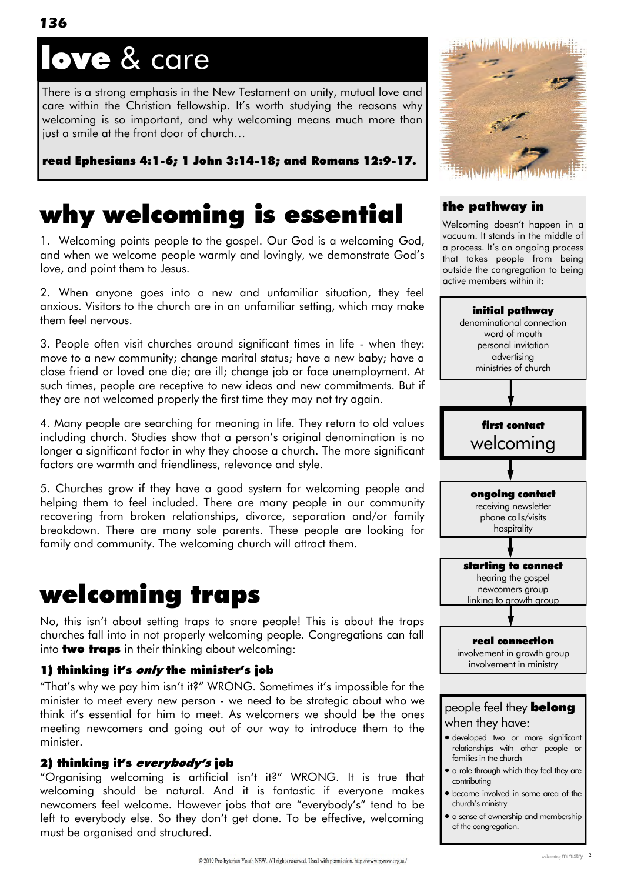# ove & care

There is a strong emphasis in the New Testament on unity, mutual love and care within the Christian fellowship. It"s worth studying the reasons why welcoming is so important, and why welcoming means much more than just a smile at the front door of church…

read Ephesians 4:1-6; 1 John 3:14-18; and Romans 12:9-17.

# why welcoming is essential

1. Welcoming points people to the gospel. Our God is a welcoming God, and when we welcome people warmly and lovingly, we demonstrate God"s love, and point them to Jesus.

2. When anyone goes into a new and unfamiliar situation, they feel anxious. Visitors to the church are in an unfamiliar setting, which may make them feel nervous.

3. People often visit churches around significant times in life - when they: move to a new community; change marital status; have a new baby; have a close friend or loved one die; are ill; change job or face unemployment. At such times, people are receptive to new ideas and new commitments. But if they are not welcomed properly the first time they may not try again.

4. Many people are searching for meaning in life. They return to old values including church. Studies show that a person"s original denomination is no longer a significant factor in why they choose a church. The more significant factors are warmth and friendliness, relevance and style.

5. Churches grow if they have a good system for welcoming people and helping them to feel included. There are many people in our community recovering from broken relationships, divorce, separation and/or family breakdown. There are many sole parents. These people are looking for family and community. The welcoming church will attract them.

## welcoming traps

No, this isn"t about setting traps to snare people! This is about the traps churches fall into in not properly welcoming people. Congregations can fall into **two traps** in their thinking about welcoming:

#### 1) thinking it's only the minister's job

"That's why we pay him isn't it?" WRONG. Sometimes it's impossible for the minister to meet every new person - we need to be strategic about who we think it"s essential for him to meet. As welcomers we should be the ones meeting newcomers and going out of our way to introduce them to the minister.

#### 2) thinking it's everybody's job

"Organising welcoming is artificial isn"t it?" WRONG. It is true that welcoming should be natural. And it is fantastic if everyone makes newcomers feel welcome. However jobs that are "everybody"s" tend to be left to everybody else. So they don't get done. To be effective, welcoming must be organised and structured.



#### the pathway in

Welcoming doesn"t happen in a vacuum. It stands in the middle of a process. It"s an ongoing process that takes people from being outside the congregation to being active members within it:

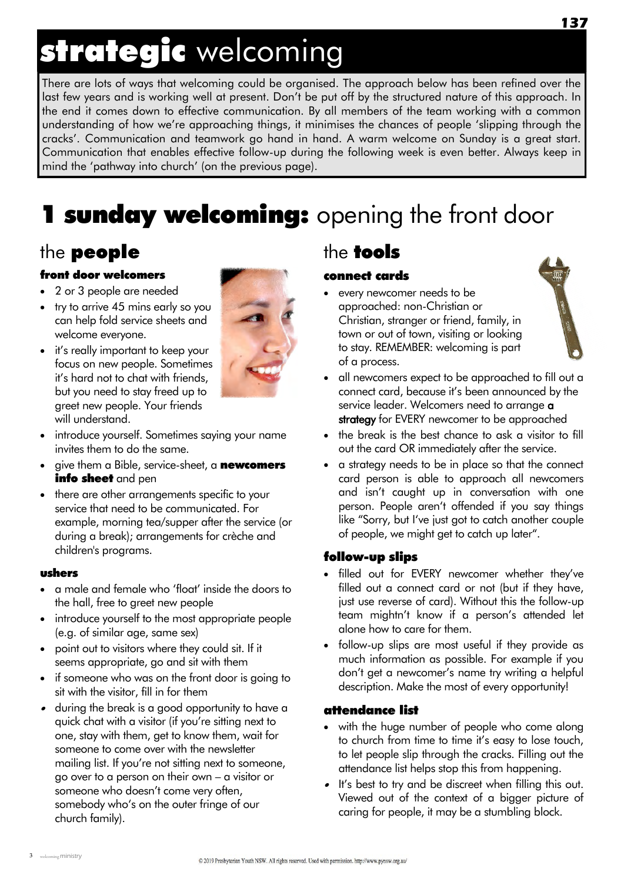# strategic welcoming

There are lots of ways that welcoming could be organised. The approach below has been refined over the last few years and is working well at present. Don't be put off by the structured nature of this approach. In the end it comes down to effective communication. By all members of the team working with a common understanding of how we"re approaching things, it minimises the chances of people "slipping through the cracks". Communication and teamwork go hand in hand. A warm welcome on Sunday is a great start. Communication that enables effective follow-up during the following week is even better. Always keep in mind the "pathway into church" (on the previous page).

# **1 sunday welcoming:** opening the front door

### the people

#### front door welcomers

- 2 or 3 people are needed
- try to arrive 45 mins early so you can help fold service sheets and welcome everyone.
- it's really important to keep your focus on new people. Sometimes it"s hard not to chat with friends, but you need to stay freed up to greet new people. Your friends will understand.



- introduce yourself. Sometimes saying your name invites them to do the same.
- give them a Bible, service-sheet, a **newcomers** info sheet and pen
- there are other arrangements specific to your service that need to be communicated. For example, morning tea/supper after the service (or during a break); arrangements for crèche and children's programs.

#### ushers

- a male and female who "float" inside the doors to the hall, free to greet new people
- introduce yourself to the most appropriate people (e.g. of similar age, same sex)
- point out to visitors where they could sit. If it seems appropriate, go and sit with them
- if someone who was on the front door is going to sit with the visitor, fill in for them
- during the break is a good opportunity to have a quick chat with a visitor (if you"re sitting next to one, stay with them, get to know them, wait for someone to come over with the newsletter mailing list. If you're not sitting next to someone, go over to a person on their own – a visitor or someone who doesn't come very often, somebody who's on the outer fringe of our church family).

### the tools

#### connect cards

 every newcomer needs to be approached: non-Christian or Christian, stranger or friend, family, in town or out of town, visiting or looking to stay. REMEMBER: welcoming is part of a process.



- all newcomers expect to be approached to fill out a connect card, because it"s been announced by the service leader. Welcomers need to arrange **a** strategy for EVERY newcomer to be approached
- the break is the best chance to ask a visitor to fill out the card OR immediately after the service.
- a strategy needs to be in place so that the connect card person is able to approach all newcomers and isn"t caught up in conversation with one person. People aren't offended if you say things like "Sorry, but I've just got to catch another couple of people, we might get to catch up later".

#### follow-up slips

- filled out for EVERY newcomer whether they've filled out a connect card or not (but if they have, just use reverse of card). Without this the follow-up team mightn't know if a person's attended let alone how to care for them.
- follow-up slips are most useful if they provide as much information as possible. For example if you don't get a newcomer's name try writing a helpful description. Make the most of every opportunity!

#### attendance list

- with the huge number of people who come along to church from time to time it"s easy to lose touch, to let people slip through the cracks. Filling out the attendance list helps stop this from happening.
- It's best to try and be discreet when filling this out. Viewed out of the context of a bigger picture of caring for people, it may be a stumbling block.